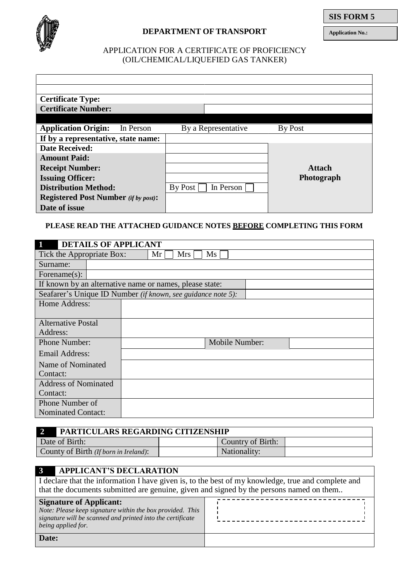

## **DEPARTMENT OF TRANSPORT**

**Application No.:**

## APPLICATION FOR A CERTIFICATE OF PROFICIENCY (OIL/CHEMICAL/LIQUEFIED GAS TANKER)

| <b>Certificate Type:</b>                    |           |         |                     |                |
|---------------------------------------------|-----------|---------|---------------------|----------------|
| <b>Certificate Number:</b>                  |           |         |                     |                |
|                                             |           |         |                     |                |
| <b>Application Origin:</b>                  | In Person |         | By a Representative | <b>By Post</b> |
| If by a representative, state name:         |           |         |                     |                |
| <b>Date Received:</b>                       |           |         |                     |                |
| <b>Amount Paid:</b>                         |           |         |                     |                |
| <b>Receipt Number:</b>                      |           |         |                     | <b>Attach</b>  |
| <b>Issuing Officer:</b>                     |           |         |                     | Photograph     |
| <b>Distribution Method:</b>                 |           | By Post | In Person           |                |
| <b>Registered Post Number</b> (if by post): |           |         |                     |                |
| Date of issue                               |           |         |                     |                |

## **PLEASE READ THE ATTACHED GUIDANCE NOTES BEFORE COMPLETING THIS FORM**

| $\mathbf{1}$<br><b>DETAILS OF APPLICANT</b> |                                                              |
|---------------------------------------------|--------------------------------------------------------------|
| Tick the Appropriate Box:                   | $\overline{\text{Ms}}$<br>Mr<br>Mrs                          |
| Surname:                                    |                                                              |
| Forename $(s)$ :                            |                                                              |
|                                             | If known by an alternative name or names, please state:      |
|                                             | Seafarer's Unique ID Number (if known, see guidance note 5): |
| Home Address:                               |                                                              |
|                                             |                                                              |
| <b>Alternative Postal</b>                   |                                                              |
| Address:                                    |                                                              |
| Phone Number:                               | Mobile Number:                                               |
| Email Address:                              |                                                              |
| Name of Nominated                           |                                                              |
| Contact:                                    |                                                              |
| <b>Address of Nominated</b>                 |                                                              |
| Contact:                                    |                                                              |
| Phone Number of                             |                                                              |
| <b>Nominated Contact:</b>                   |                                                              |

| PARTICULARS REGARDING CITIZENSHIP     |                   |  |  |  |
|---------------------------------------|-------------------|--|--|--|
| Date of Birth:                        | Country of Birth: |  |  |  |
| County of Birth (If born in Ireland): | Nationality:      |  |  |  |

# **3 APPLICANT'S DECLARATION**

I declare that the information I have given is, to the best of my knowledge, true and complete and that the documents submitted are genuine, given and signed by the persons named on them..

| <b>Signature of Applicant:</b><br>Note: Please keep signature within the box provided. This<br>signature will be scanned and printed into the certificate<br>being applied for. |  |
|---------------------------------------------------------------------------------------------------------------------------------------------------------------------------------|--|
| Date:                                                                                                                                                                           |  |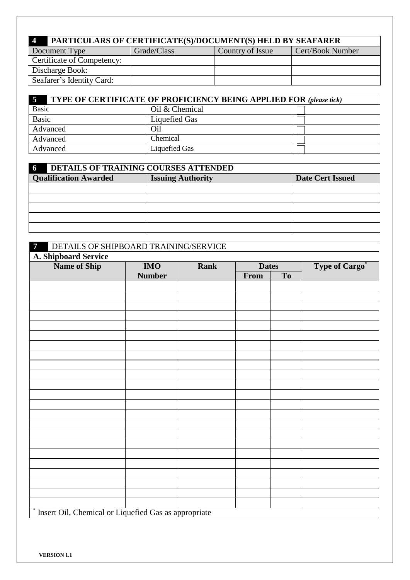| PARTICULARS OF CERTIFICATE(S)/DOCUMENT(S) HELD BY SEAFARER<br>$\overline{4}$ |             |                  |                  |  |  |  |
|------------------------------------------------------------------------------|-------------|------------------|------------------|--|--|--|
| Document Type                                                                | Grade/Class | Country of Issue | Cert/Book Number |  |  |  |
| <b>Certificate of Competency:</b>                                            |             |                  |                  |  |  |  |
| Discharge Book:                                                              |             |                  |                  |  |  |  |
| Seafarer's Identity Card:                                                    |             |                  |                  |  |  |  |

| $\overline{5}$<br><b>TYPE OF CERTIFICATE OF PROFICIENCY BEING APPLIED FOR (please tick)</b> |                |  |  |  |
|---------------------------------------------------------------------------------------------|----------------|--|--|--|
| <b>Basic</b>                                                                                | Oil & Chemical |  |  |  |
| <b>Basic</b>                                                                                | Liquefied Gas  |  |  |  |
| Advanced                                                                                    | Oil            |  |  |  |
| Advanced                                                                                    | Chemical       |  |  |  |
| Advanced                                                                                    | Liquefied Gas  |  |  |  |

| $\sqrt{6}$<br><b>DETAILS OF TRAINING COURSES ATTENDED</b> |                          |                         |  |  |  |
|-----------------------------------------------------------|--------------------------|-------------------------|--|--|--|
| <b>Qualification Awarded</b>                              | <b>Issuing Authority</b> | <b>Date Cert Issued</b> |  |  |  |
|                                                           |                          |                         |  |  |  |
|                                                           |                          |                         |  |  |  |
|                                                           |                          |                         |  |  |  |
|                                                           |                          |                         |  |  |  |
|                                                           |                          |                         |  |  |  |

| DETAILS OF SHIPBOARD TRAINING/SERVICE<br>$\overline{7}$ |               |             |              |           |                       |
|---------------------------------------------------------|---------------|-------------|--------------|-----------|-----------------------|
| A. Shipboard Service                                    |               |             |              |           |                       |
| Name of Ship                                            | <b>IMO</b>    | <b>Rank</b> | <b>Dates</b> |           | <b>Type of Cargo*</b> |
|                                                         | <b>Number</b> |             | From         | <b>To</b> |                       |
|                                                         |               |             |              |           |                       |
|                                                         |               |             |              |           |                       |
|                                                         |               |             |              |           |                       |
|                                                         |               |             |              |           |                       |
|                                                         |               |             |              |           |                       |
|                                                         |               |             |              |           |                       |
|                                                         |               |             |              |           |                       |
|                                                         |               |             |              |           |                       |
|                                                         |               |             |              |           |                       |
|                                                         |               |             |              |           |                       |
|                                                         |               |             |              |           |                       |
|                                                         |               |             |              |           |                       |
|                                                         |               |             |              |           |                       |
|                                                         |               |             |              |           |                       |
|                                                         |               |             |              |           |                       |
|                                                         |               |             |              |           |                       |
|                                                         |               |             |              |           |                       |
|                                                         |               |             |              |           |                       |
|                                                         |               |             |              |           |                       |
|                                                         |               |             |              |           |                       |
|                                                         |               |             |              |           |                       |
|                                                         |               |             |              |           |                       |
|                                                         |               |             |              |           |                       |
| * Insert Oil, Chemical or Liquefied Gas as appropriate  |               |             |              |           |                       |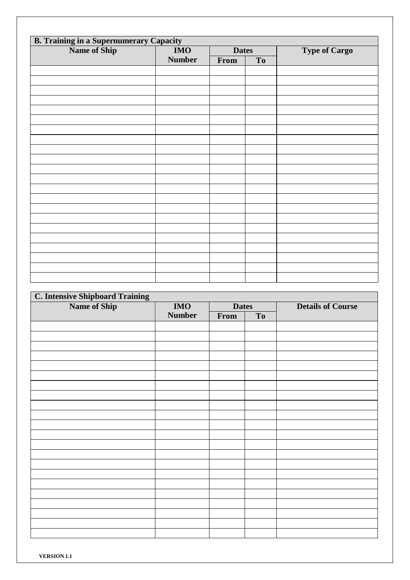| <b>B. Training in a Supernumerary Capacity</b><br>Name of Ship<br><b>IMO</b><br><b>Dates</b> |               |      |    |                      |  |
|----------------------------------------------------------------------------------------------|---------------|------|----|----------------------|--|
|                                                                                              |               |      |    | <b>Type of Cargo</b> |  |
|                                                                                              | <b>Number</b> | From | To |                      |  |
|                                                                                              |               |      |    |                      |  |
|                                                                                              |               |      |    |                      |  |
|                                                                                              |               |      |    |                      |  |
|                                                                                              |               |      |    |                      |  |
|                                                                                              |               |      |    |                      |  |
|                                                                                              |               |      |    |                      |  |
|                                                                                              |               |      |    |                      |  |
|                                                                                              |               |      |    |                      |  |
|                                                                                              |               |      |    |                      |  |
|                                                                                              |               |      |    |                      |  |
|                                                                                              |               |      |    |                      |  |
|                                                                                              |               |      |    |                      |  |
|                                                                                              |               |      |    |                      |  |
|                                                                                              |               |      |    |                      |  |
|                                                                                              |               |      |    |                      |  |
|                                                                                              |               |      |    |                      |  |
|                                                                                              |               |      |    |                      |  |
|                                                                                              |               |      |    |                      |  |
|                                                                                              |               |      |    |                      |  |
|                                                                                              |               |      |    |                      |  |
|                                                                                              |               |      |    |                      |  |
|                                                                                              |               |      |    |                      |  |
|                                                                                              |               |      |    |                      |  |
|                                                                                              |               |      |    |                      |  |

| <b>C. Intensive Shipboard Training</b> |               |              |    |                          |  |  |
|----------------------------------------|---------------|--------------|----|--------------------------|--|--|
| <b>Name of Ship</b>                    | <b>IMO</b>    | <b>Dates</b> |    | <b>Details of Course</b> |  |  |
|                                        | <b>Number</b> | From         | To |                          |  |  |
|                                        |               |              |    |                          |  |  |
|                                        |               |              |    |                          |  |  |
|                                        |               |              |    |                          |  |  |
|                                        |               |              |    |                          |  |  |
|                                        |               |              |    |                          |  |  |
|                                        |               |              |    |                          |  |  |
|                                        |               |              |    |                          |  |  |
|                                        |               |              |    |                          |  |  |
|                                        |               |              |    |                          |  |  |
|                                        |               |              |    |                          |  |  |
|                                        |               |              |    |                          |  |  |
|                                        |               |              |    |                          |  |  |
|                                        |               |              |    |                          |  |  |
|                                        |               |              |    |                          |  |  |
|                                        |               |              |    |                          |  |  |
|                                        |               |              |    |                          |  |  |
|                                        |               |              |    |                          |  |  |
|                                        |               |              |    |                          |  |  |
|                                        |               |              |    |                          |  |  |
|                                        |               |              |    |                          |  |  |
|                                        |               |              |    |                          |  |  |
|                                        |               |              |    |                          |  |  |
|                                        |               |              |    |                          |  |  |
|                                        |               |              |    |                          |  |  |
|                                        |               |              |    |                          |  |  |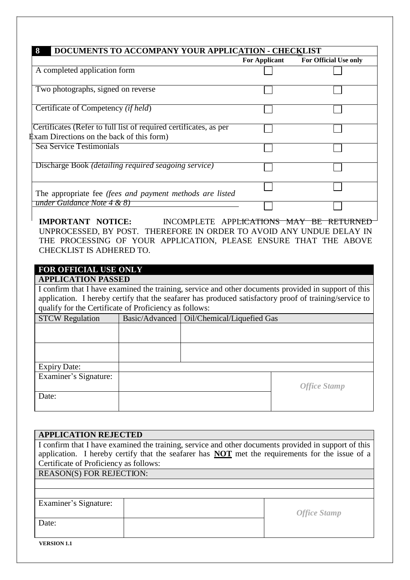|                                                                                                                       | <b>For Applicant</b> | <b>For Official Use only</b> |
|-----------------------------------------------------------------------------------------------------------------------|----------------------|------------------------------|
| A completed application form                                                                                          |                      |                              |
| Two photographs, signed on reverse                                                                                    |                      |                              |
| Certificate of Competency <i>(if held)</i>                                                                            |                      |                              |
| Certificates (Refer to full list of required certificates, as per<br><b>Exam Directions on the back of this form)</b> |                      |                              |
| Sea Service Testimonials                                                                                              |                      |                              |
| Discharge Book <i>(detailing required seagoing service)</i>                                                           |                      |                              |
| The appropriate fee (fees and payment methods are listed                                                              |                      |                              |
| under Guidance Note 4 & 8)                                                                                            |                      |                              |

**IMPORTANT NOTICE:** INCOMPLETE APPLICATIONS MAY BE RETURNED UNPROCESSED, BY POST. THEREFORE IN ORDER TO AVOID ANY UNDUE DELAY IN THE PROCESSING OF YOUR APPLICATION, PLEASE ENSURE THAT THE ABOVE CHECKLIST IS ADHERED TO.

## **FOR OFFICIAL USE ONLY**

## **APPLICATION PASSED**

I confirm that I have examined the training, service and other documents provided in support of this application. I hereby certify that the seafarer has produced satisfactory proof of training/service to qualify for the Certificate of Proficiency as follows:

| <b>STCW Regulation</b> | Basic/Advanced   Oil/Chemical/Liquefied Gas |                     |  |
|------------------------|---------------------------------------------|---------------------|--|
|                        |                                             |                     |  |
|                        |                                             |                     |  |
|                        |                                             |                     |  |
|                        |                                             |                     |  |
| <b>Expiry Date:</b>    |                                             |                     |  |
| Examiner's Signature:  |                                             |                     |  |
|                        |                                             | <b>Office Stamp</b> |  |
| Date:                  |                                             |                     |  |
|                        |                                             |                     |  |

| <b>APPLICATION REJECTED</b>                                                                            |                     |  |  |  |  |  |
|--------------------------------------------------------------------------------------------------------|---------------------|--|--|--|--|--|
| I confirm that I have examined the training, service and other documents provided in support of this   |                     |  |  |  |  |  |
| application. I hereby certify that the seafarer has <b>NOT</b> met the requirements for the issue of a |                     |  |  |  |  |  |
| Certificate of Proficiency as follows:                                                                 |                     |  |  |  |  |  |
| <b>REASON(S) FOR REJECTION:</b>                                                                        |                     |  |  |  |  |  |
|                                                                                                        |                     |  |  |  |  |  |
|                                                                                                        |                     |  |  |  |  |  |
| Examiner's Signature:                                                                                  |                     |  |  |  |  |  |
|                                                                                                        | <b>Office Stamp</b> |  |  |  |  |  |
| Date:                                                                                                  |                     |  |  |  |  |  |
|                                                                                                        |                     |  |  |  |  |  |
| <b>VERSION 1.1</b>                                                                                     |                     |  |  |  |  |  |
|                                                                                                        |                     |  |  |  |  |  |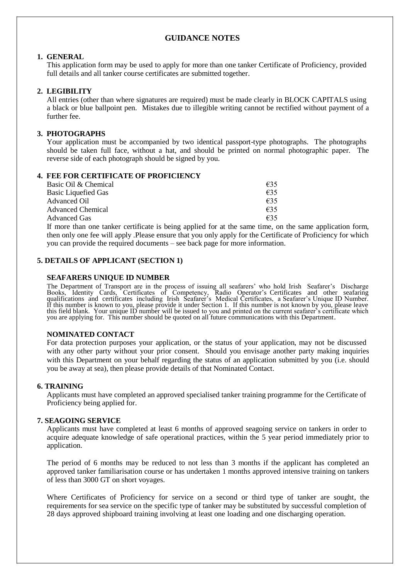### **GUIDANCE NOTES**

#### **1. GENERAL**

This application form may be used to apply for more than one tanker Certificate of Proficiency, provided full details and all tanker course certificates are submitted together.

#### **2. LEGIBILITY**

All entries (other than where signatures are required) must be made clearly in BLOCK CAPITALS using a black or blue ballpoint pen. Mistakes due to illegible writing cannot be rectified without payment of a further fee.

#### **3. PHOTOGRAPHS**

Your application must be accompanied by two identical passport-type photographs. The photographs should be taken full face, without a hat, and should be printed on normal photographic paper. The reverse side of each photograph should be signed by you.

#### **4. FEE FOR CERTIFICATE OF PROFICIENCY**

| Basic Oil & Chemical       | €35 |
|----------------------------|-----|
| <b>Basic Liquefied Gas</b> | 635 |
| Advanced Oil               | f35 |
| <b>Advanced Chemical</b>   | f35 |
| <b>Advanced Gas</b>        | €35 |

If more than one tanker certificate is being applied for at the same time, on the same application form, then only one fee will apply .Please ensure that you only apply for the Certificate of Proficiency for which you can provide the required documents – see back page for more information.

#### **5. DETAILS OF APPLICANT (SECTION 1)**

#### **SEAFARERS UNIQUE ID NUMBER**

The Department of Transport are in the process of issuing all seafarers' who hold Irish Seafarer's Discharge Books, Identity Cards, Certificates of Competency, Radio Operator's Certificates and other seafaring qualifications and certificates including Irish Seafarer's Medical Certificates, a Seafarer's Unique ID Number. If this number is known to you, please provide it under Section 1. If this number is not known by you, please leave this field blank. Your unique ID number will be issued to you and printed on the current seafarer's certificate which you are applying for. This number should be quoted on all future communications with this Department.

#### **NOMINATED CONTACT**

For data protection purposes your application, or the status of your application, may not be discussed with any other party without your prior consent. Should you envisage another party making inquiries with this Department on your behalf regarding the status of an application submitted by you (i.e. should you be away at sea), then please provide details of that Nominated Contact.

#### **6. TRAINING**

Applicants must have completed an approved specialised tanker training programme for the Certificate of Proficiency being applied for.

#### **7. SEAGOING SERVICE**

Applicants must have completed at least 6 months of approved seagoing service on tankers in order to acquire adequate knowledge of safe operational practices, within the 5 year period immediately prior to application.

The period of 6 months may be reduced to not less than 3 months if the applicant has completed an approved tanker familiarisation course or has undertaken 1 months approved intensive training on tankers of less than 3000 GT on short voyages.

Where Certificates of Proficiency for service on a second or third type of tanker are sought, the requirements for sea service on the specific type of tanker may be substituted by successful completion of 28 days approved shipboard training involving at least one loading and one discharging operation.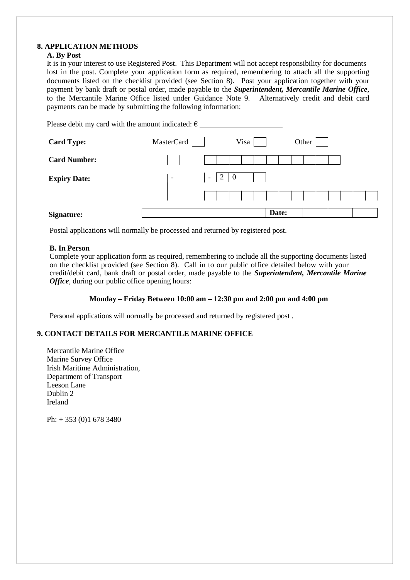#### **8. APPLICATION METHODS**

#### **A. By Post**

It is in your interest to use Registered Post. This Department will not accept responsibility for documents lost in the post. Complete your application form as required, remembering to attach all the supporting documents listed on the checklist provided (see Section 8). Post your application together with your payment by bank draft or postal order, made payable to the *Superintendent, Mercantile Marine Office*, to the Mercantile Marine Office listed under Guidance Note 9. Alternatively credit and debit card payments can be made by submitting the following information:

| Please debit my card with the amount indicated: $\epsilon$ |                                                                                          |       |
|------------------------------------------------------------|------------------------------------------------------------------------------------------|-------|
| <b>Card Type:</b>                                          | MasterCard<br>Visa                                                                       | Other |
| <b>Card Number:</b>                                        |                                                                                          |       |
| <b>Expiry Date:</b>                                        | $\overline{2}$<br>$\overline{0}$<br>$\overline{\phantom{a}}$<br>$\overline{\phantom{a}}$ |       |
|                                                            |                                                                                          |       |
| Signature:                                                 | Date:                                                                                    |       |

Postal applications will normally be processed and returned by registered post.

#### **B. In Person**

Complete your application form as required, remembering to include all the supporting documents listed on the checklist provided (see Section 8). Call in to our public office detailed below with your credit/debit card, bank draft or postal order, made payable to the *Superintendent, Mercantile Marine Office*, during our public office opening hours:

#### **Monday – Friday Between 10:00 am – 12:30 pm and 2:00 pm and 4:00 pm**

Personal applications will normally be processed and returned by registered post .

#### **9. CONTACT DETAILS FOR MERCANTILE MARINE OFFICE**

Mercantile Marine Office Marine Survey Office Irish Maritime Administration, Department of Transport Leeson Lane Dublin 2 Ireland

Ph: + 353 (0)1 678 3480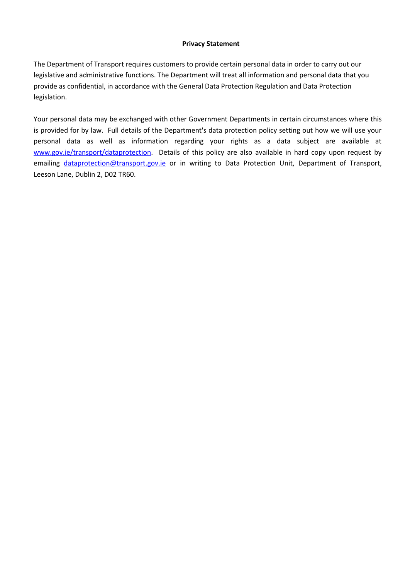#### **Privacy Statement**

The Department of Transport requires customers to provide certain personal data in order to carry out our legislative and administrative functions. The Department will treat all information and personal data that you provide as confidential, in accordance with the General Data Protection Regulation and Data Protection legislation.

Your personal data may be exchanged with other Government Departments in certain circumstances where this is provided for by law. Full details of the Department's data protection policy setting out how we will use your personal data as well as information regarding your rights as a data subject are available at [www.gov.ie/transport/dataprotection.](http://www.gov.ie/transport/dataprotection) Details of this policy are also available in hard copy upon request by emailing [dataprotection@transport.gov.ie](mailto:dataprotection@transport.gov.ie) or in writing to Data Protection Unit, Department of Transport, Leeson Lane, Dublin 2, D02 TR60.